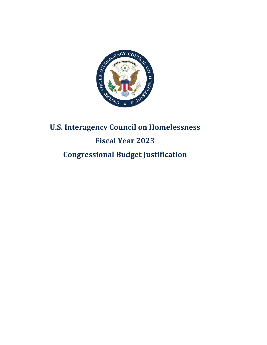

# **U.S. Interagency Council on Homelessness Fiscal Year 2023 Congressional Budget Justification**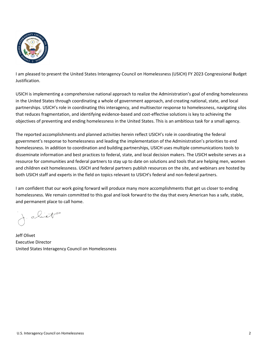

I am pleased to present the United States Interagency Council on Homelessness (USICH) FY 2023 Congressional Budget Justification.

USICH is implementing a comprehensive national approach to realize the Administration's goal of ending homelessness in the United States through coordinating a whole of government approach, and creating national, state, and local partnerships. USICH's role in coordinating this interagency, and multisector response to homelessness, navigating silos that reduces fragmentation, and identifying evidence-based and cost-effective solutions is key to achieving the objectives of preventing and ending homelessness in the United States. This is an ambitious task for a small agency.

The reported accomplishments and planned activities herein reflect USICH's role in coordinating the federal government's response to homelessness and leading the implementation of the Administration's priorities to end homelessness. In addition to coordination and building partnerships, USICH uses multiple communications tools to disseminate information and best practices to federal, state, and local decision makers. The USICH website serves as a resource for communities and federal partners to stay up to date on solutions and tools that are helping men, women and children exit homelessness. USICH and federal partners publish resources on the site, and webinars are hosted by both USICH staff and experts in the field on topics relevant to USICH's federal and non-federal partners.

I am confident that our work going forward will produce many more accomplishments that get us closer to ending homelessness. We remain committed to this goal and look forward to the day that every American has a safe, stable, and permanent place to call home.

J. oliet

Jeff Olivet Executive Director United States Interagency Council on Homelessness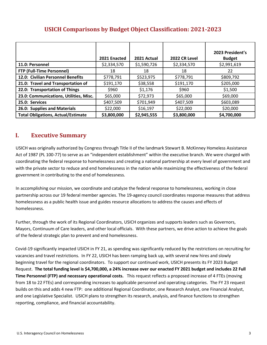|                                           | 2021 Enacted | 2021 Actual | 2022 CR Level | 2023 President's<br><b>Budget</b> |
|-------------------------------------------|--------------|-------------|---------------|-----------------------------------|
| 11.0: Personnel                           | \$2,334,570  | \$1,590,726 | \$2,334,570   | \$2,991,619                       |
| <b>FTP (Full-Time Personnel)</b>          | 18           | 18          | 18            | 22                                |
| 12.0: Civilian Personnel Benefits         | \$778,791    | \$523,975   | \$778,791     | \$809,792                         |
| 21.0: Travel and Transportation of        | \$191,170    | \$38,558    | \$191,170     | \$205,000                         |
| 22.0: Transportation of Things            | \$960        | \$1,176     | \$960         | \$1,500                           |
| 23.0: Communications, Utilities, Misc.    | \$65,000     | \$72,973    | \$65,000      | \$69,000                          |
| 25.0: Services                            | \$407,509    | \$701,949   | \$407,509     | \$603,089                         |
| 26.0: Supplies and Materials              | \$22,000     | \$16,197    | \$22,000      | \$20,000                          |
| <b>Total Obligations, Actual/Estimate</b> | \$3,800,000  | \$2,945,555 | \$3,800,000   | \$4,700,000                       |

# **USICH Comparisons by Budget Object Classification: 2021-2023**

# **I. Executive Summary**

USICH was originally authorized by Congress through Title II of the landmark Stewart B. McKinney Homeless Assistance Act of 1987 (PL 100-77) to serve as an "independent establishment" within the executive branch. We were charged with coordinating the federal response to homelessness and creating a national partnership at every level of government and with the private sector to reduce and end homelessness in the nation while maximizing the effectiveness of the federal government in contributing to the end of homelessness.

In accomplishing our mission, we coordinate and catalyze the federal response to homelessness, working in close partnership across our 19 federal member agencies. The 19-agency council coordinates response measures that address homelessness as a public health issue and guides resource allocations to address the causes and effects of homelessness.

Further, through the work of its Regional Coordinators, USICH organizes and supports leaders such as Governors, Mayors, Continuum of Care leaders, and other local officials. With these partners, we drive action to achieve the goals of the federal strategic plan to prevent and end homelessness.

Covid-19 significantly impacted USICH in FY 21, as spending was significantly reduced by the restrictions on recruiting for vacancies and travel restrictions. In FY 22, USICH has been ramping back up, with several new hires and slowly beginning travel for the regional coordinators. To support our continued work, USICH presents its FY 2023 Budget Request. **The total funding level is \$4,700,000, a 24% increase over our enacted FY 2021 budget and includes 22 Full Time Personnel (FTP) and necessary operational costs.** This request reflects a proposed increase of 4 FTEs (moving from 18 to 22 FTEs) and corresponding increases to applicable personnel and operating categories. The FY 23 request builds on this and adds 4 new FTP: one additional Regional Coordinator, one Research Analyst, one Financial Analyst, and one Legislative Specialist. USICH plans to strengthen its research, analysis, and finance functions to strengthen reporting, compliance, and financial accountability.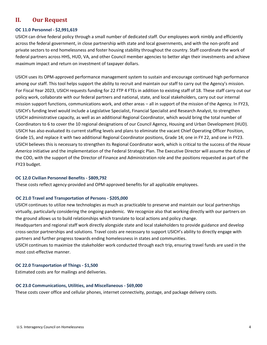## **II. Our Request**

## **OC 11.0 Personnel - \$2,991,619**

USICH can drive federal policy through a small number of dedicated staff. Our employees work nimbly and efficiently across the federal government, in close partnership with state and local governments, and with the non-profit and private sectors to end homelessness and foster housing stability throughout the country. Staff coordinate the work of federal partners across HHS, HUD, VA, and other Council member agencies to better align their investments and achieve maximum impact and return on investment of taxpayer dollars.

USICH uses its OPM-approved performance management system to sustain and encourage continued high performance among our staff. This tool helps support the ability to recruit and maintain our staff to carry out the Agency's mission. For Fiscal Year 2023, USICH requests funding for 22 FTP 4 FTEs in addition to existing staff of 18. These staff carry out our policy work, collaborate with our federal partners and national, state, and local stakeholders, carry out our internal mission support functions, communications work, and other areas – all in support of the mission of the Agency. In FY23, USICH's funding level would include a Legislative Specialist, Financial Specialist and Research Analyst, to strengthen USICH administrative capacity, as well as an additional Regional Coordinator, which would bring the total number of Coordinators to 6 to cover the 10 regional designations of our Council Agency, Housing and Urban Development (HUD). USICH has also evaluated its current staffing levels and plans to eliminate the vacant Chief Operating Officer Position, Grade 15, and replace it with two additional Regional Coordinator positions, Grade 14; one in FY 22, and one in FY23. USICH believes this is necessary to strengthen its Regional Coordinator work, which is critical to the success of the *House America* initiative and the implementation of the Federal Strategic Plan. The Executive Director will assume the duties of the COO, with the support of the Director of Finance and Administration role and the positions requested as part of the FY23 budget.

## **OC 12.0 Civilian Personnel Benefits - \$809,792**

These costs reflect agency-provided and OPM-approved benefits for all applicable employees.

## **OC 21.0 Travel and Transportation of Persons - \$205,000**

USICH continues to utilize new technologies as much as practicable to preserve and maintain our local partnerships virtually, particularly considering the ongoing pandemic. We recognize also that working directly with our partners on the ground allows us to build relationships which translate to local actions and policy change.

Headquarters and regional staff work directly alongside state and local stakeholders to provide guidance and develop cross-sector partnerships and solutions. Travel costs are necessary to support USICH's ability to directly engage with partners and further progress towards ending homelessness in states and communities.

USICH continues to maximize the stakeholder work conducted through each trip, ensuring travel funds are used in the most cost-effective manner.

## **OC 22.0 Transportation of Things - \$1,500**

Estimated costs are for mailings and deliveries.

#### **OC 23.0 Communications, Utilities, and Miscellaneous - \$69,000**

These costs cover office and cellular phones, internet connectivity, postage, and package delivery costs.